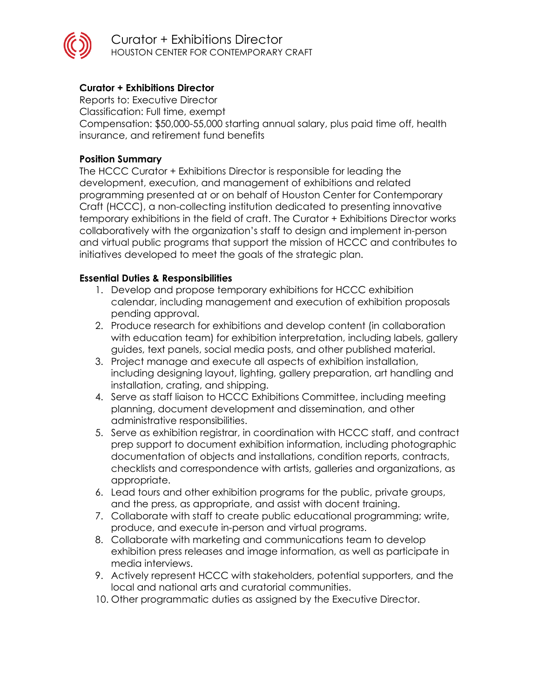

Curator + Exhibitions Director HOUSTON CENTER FOR CONTEMPORARY CRAFT

# **Curator + Exhibitions Director**

Reports to: Executive Director Classification: Full time, exempt

Compensation: \$50,000-55,000 starting annual salary, plus paid time off, health insurance, and retirement fund benefits

## **Position Summary**

The HCCC Curator + Exhibitions Director is responsible for leading the development, execution, and management of exhibitions and related programming presented at or on behalf of Houston Center for Contemporary Craft (HCCC), a non-collecting institution dedicated to presenting innovative temporary exhibitions in the field of craft. The Curator + Exhibitions Director works collaboratively with the organization's staff to design and implement in-person and virtual public programs that support the mission of HCCC and contributes to initiatives developed to meet the goals of the strategic plan.

## **Essential Duties & Responsibilities**

- 1. Develop and propose temporary exhibitions for HCCC exhibition calendar, including management and execution of exhibition proposals pending approval.
- 2. Produce research for exhibitions and develop content (in collaboration with education team) for exhibition interpretation, including labels, gallery guides, text panels, social media posts, and other published material.
- 3. Project manage and execute all aspects of exhibition installation, including designing layout, lighting, gallery preparation, art handling and installation, crating, and shipping.
- 4. Serve as staff liaison to HCCC Exhibitions Committee, including meeting planning, document development and dissemination, and other administrative responsibilities.
- 5. Serve as exhibition registrar, in coordination with HCCC staff, and contract prep support to document exhibition information, including photographic documentation of objects and installations, condition reports, contracts, checklists and correspondence with artists, galleries and organizations, as appropriate.
- 6. Lead tours and other exhibition programs for the public, private groups, and the press, as appropriate, and assist with docent training.
- 7. Collaborate with staff to create public educational programming; write, produce, and execute in-person and virtual programs.
- 8. Collaborate with marketing and communications team to develop exhibition press releases and image information, as well as participate in media interviews.
- 9. Actively represent HCCC with stakeholders, potential supporters, and the local and national arts and curatorial communities.
- 10. Other programmatic duties as assigned by the Executive Director.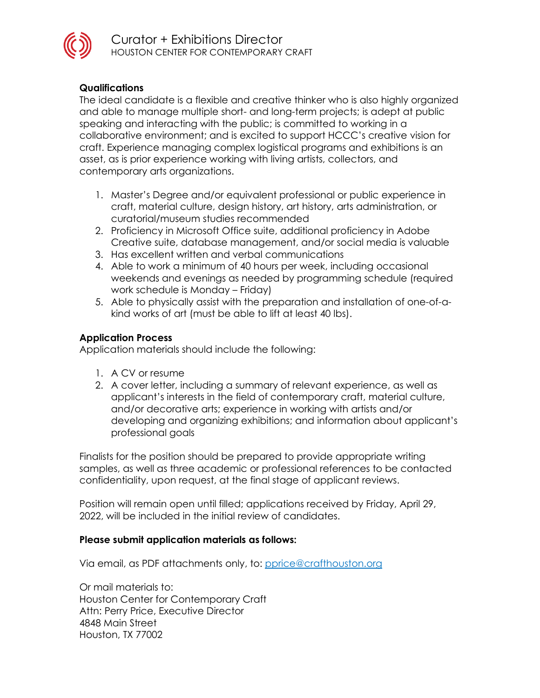

Curator + Exhibitions Director HOUSTON CENTER FOR CONTEMPORARY CRAFT

## **Qualifications**

The ideal candidate is a flexible and creative thinker who is also highly organized and able to manage multiple short- and long-term projects; is adept at public speaking and interacting with the public; is committed to working in a collaborative environment; and is excited to support HCCC's creative vision for craft. Experience managing complex logistical programs and exhibitions is an asset, as is prior experience working with living artists, collectors, and contemporary arts organizations.

- 1. Master's Degree and/or equivalent professional or public experience in craft, material culture, design history, art history, arts administration, or curatorial/museum studies recommended
- 2. Proficiency in Microsoft Office suite, additional proficiency in Adobe Creative suite, database management, and/or social media is valuable
- 3. Has excellent written and verbal communications
- 4. Able to work a minimum of 40 hours per week, including occasional weekends and evenings as needed by programming schedule (required work schedule is Monday – Friday)
- 5. Able to physically assist with the preparation and installation of one-of-akind works of art (must be able to lift at least 40 lbs).

#### **Application Process**

Application materials should include the following:

- 1. A CV or resume
- 2. A cover letter, including a summary of relevant experience, as well as applicant's interests in the field of contemporary craft, material culture, and/or decorative arts; experience in working with artists and/or developing and organizing exhibitions; and information about applicant's professional goals

Finalists for the position should be prepared to provide appropriate writing samples, as well as three academic or professional references to be contacted confidentiality, upon request, at the final stage of applicant reviews.

Position will remain open until filled; applications received by Friday, April 29, 2022, will be included in the initial review of candidates.

#### **Please submit application materials as follows:**

Via email, as PDF attachments only, to: [pprice@crafthouston.org](mailto:pprice@crafthouston.org)

Or mail materials to: Houston Center for Contemporary Craft Attn: Perry Price, Executive Director 4848 Main Street Houston, TX 77002